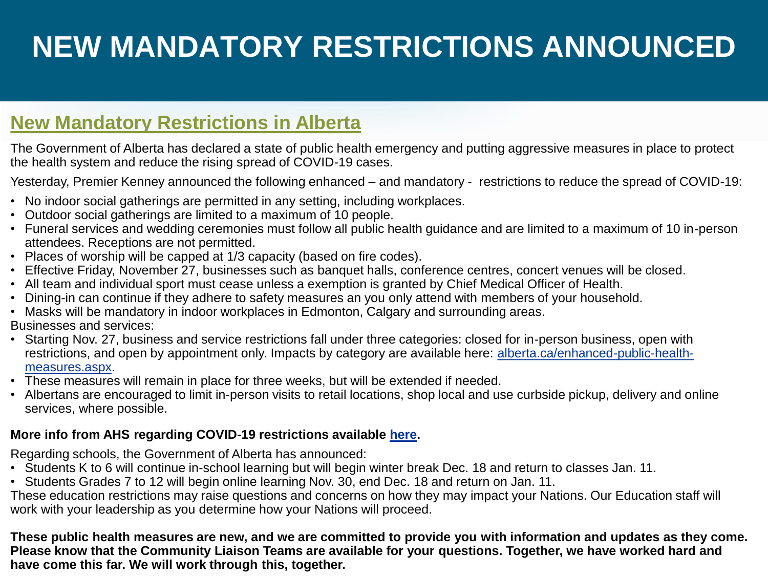# **NEW MANDATORY RESTRICTIONS ANNOUNCED**

# **New Mandatory Restrictions in Alberta**

The Government of Alberta has declared a state of public health emergency and putting aggressive measures in place to protect the health system and reduce the rising spread of COVID-19 cases.

Yesterday, Premier Kenney announced the following enhanced – and mandatory - restrictions to reduce the spread of COVID-19:

- No indoor social gatherings are permitted in any setting, including workplaces.
- Outdoor social gatherings are limited to a maximum of 10 people.
- Funeral services and wedding ceremonies must follow all public health guidance and are limited to a maximum of 10 in-person attendees. Receptions are not permitted.
- Places of worship will be capped at 1/3 capacity (based on fire codes).
- Effective Friday, November 27, businesses such as banquet halls, conference centres, concert venues will be closed.
- All team and individual sport must cease unless a exemption is granted by Chief Medical Officer of Health.
- Dining-in can continue if they adhere to safety measures an you only attend with members of your household.
- Masks will be mandatory in indoor workplaces in Edmonton, Calgary and surrounding areas.

Businesses and services:

- Starting Nov. 27, business and service restrictions fall under three categories: closed for in-person business, open with [restrictions, and open by appointment only. Impacts by category are available here: alberta.ca/enhanced-public-health](https://www.alberta.ca/enhanced-public-health-measures.aspx)measures.aspx.
- These measures will remain in place for three weeks, but will be extended if needed.
- Albertans are encouraged to limit in-person visits to retail locations, shop local and use curbside pickup, delivery and online services, where possible.

#### **More info from AHS regarding COVID-19 restrictions available [here.](https://www.alberta.ca/enhanced-public-health-measures.aspx)**

Regarding schools, the Government of Alberta has announced:

- Students K to 6 will continue in-school learning but will begin winter break Dec. 18 and return to classes Jan. 11.
- Students Grades 7 to 12 will begin online learning Nov. 30, end Dec. 18 and return on Jan. 11.

These education restrictions may raise questions and concerns on how they may impact your Nations. Our Education staff will work with your leadership as you determine how your Nations will proceed.

**These public health measures are new, and we are committed to provide you with information and updates as they come. Please know that the Community Liaison Teams are available for your questions. Together, we have worked hard and have come this far. We will work through this, together.**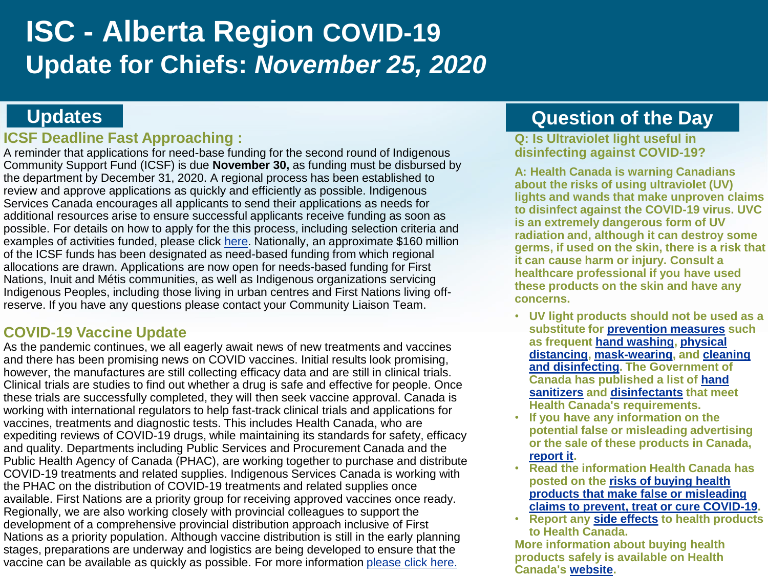# **ISC - Alberta Region COVID-19 Update for Chiefs:** *November 25, 2020*

### **Updates**

### **ICSF Deadline Fast Approaching :**

A reminder that applications for need-base funding for the second round of Indigenous Community Support Fund (ICSF) is due **November 30,** as funding must be disbursed by the department by December 31, 2020. A regional process has been established to review and approve applications as quickly and efficiently as possible. Indigenous Services Canada encourages all applicants to send their applications as needs for additional resources arise to ensure successful applicants receive funding as soon as possible. For details on how to apply for the this process, including selection criteria and examples of activities funded, please click [here](https://www.sac-isc.gc.ca/eng/1603990521589/1603990645077). Nationally, an approximate \$160 million of the ICSF funds has been designated as need-based funding from which regional allocations are drawn. Applications are now open for needs-based funding for First Nations, Inuit and Métis communities, as well as Indigenous organizations servicing Indigenous Peoples, including those living in urban centres and First Nations living offreserve. If you have any questions please contact your Community Liaison Team.

### **COVID-19 Vaccine Update**

As the pandemic continues, we all eagerly await news of new treatments and vaccines and there has been promising news on COVID vaccines. Initial results look promising, however, the manufactures are still collecting efficacy data and are still in clinical trials. Clinical trials are studies to find out whether a drug is safe and effective for people. Once these trials are successfully completed, they will then seek vaccine approval. Canada is working with international regulators to help fast-track clinical trials and applications for vaccines, treatments and diagnostic tests. This includes Health Canada, who are expediting reviews of COVID-19 drugs, while maintaining its standards for safety, efficacy and quality. Departments including Public Services and Procurement Canada and the Public Health Agency of Canada (PHAC), are working together to purchase and distribute COVID-19 treatments and related supplies. Indigenous Services Canada is working with the PHAC on the distribution of COVID-19 treatments and related supplies once available. First Nations are a priority group for receiving approved vaccines once ready. Regionally, we are also working closely with provincial colleagues to support the development of a comprehensive provincial distribution approach inclusive of First Nations as a priority population. Although vaccine distribution is still in the early planning stages, preparations are underway and logistics are being developed to ensure that the vaccine can be available as quickly as possible. For more information [please click here.](https://www.canada.ca/en/public-health/services/diseases/2019-novel-coronavirus-infection/awareness-resources/know-vaccine.html) 

# **Question of the Day**

#### **Q: Is Ultraviolet light useful in disinfecting against COVID-19?**

**A: Health Canada is warning Canadians about the risks of using ultraviolet (UV) lights and wands that make unproven claims to disinfect against the COVID-19 virus. UVC is an extremely dangerous form of UV radiation and, although it can destroy some germs, if used on the skin, there is a risk that it can cause harm or injury. Consult a healthcare professional if you have used these products on the skin and have any concerns.**

- **UV light products should not be used as a substitute for [prevention measures](https://www.canada.ca/en/public-health/services/diseases/2019-novel-coronavirus-infection/prevention-risks.html#p) such as frequent [hand washing](https://www.canada.ca/en/public-health/services/publications/diseases-conditions/reduce-spread-covid-19-wash-your-hands.html), physical [distancing, mask-wearing, and clean](https://www.canada.ca/en/public-health/services/publications/diseases-conditions/social-distancing.html)ing [and disinfecting. The Government of](https://www.canada.ca/en/public-health/services/diseases/2019-novel-coronavirus-infection/prevention-risks/cleaning-disinfecting.html)  [Canada has published a list of hand](https://www.canada.ca/en/health-canada/services/drugs-health-products/disinfectants/covid-19/hand-sanitizer.html)  sanitizers and [disinfectants](https://www.canada.ca/en/health-canada/services/drugs-health-products/disinfectants/covid-19/list.html) that meet Health Canada's requirements.**
- **If you have any information on the potential false or misleading advertising or the sale of these products in Canada, [report it.](https://www.canada.ca/en/health-canada/services/drugs-health-products/marketing-drugs-devices/illegal-marketing/complaint.html)**
- **Read the information Health Canada has posted on the risks of buying health products that make false or misleading [claims to prevent, treat or cure COVID-19](https://healthycanadians.gc.ca/recall-alert-rappel-avis/hc-sc/2020/72659a-eng.php).**
- **Report any [side effects](https://www.canada.ca/en/health-canada/services/drugs-health-products/medeffect-canada/adverse-reaction-reporting.html) to health products to Health Canada.**

**More information about buying health products safely is available on Health Canada's [website.](https://www.canada.ca/en/health-canada/topics/buying-using-drug-health-products-safely.html)**